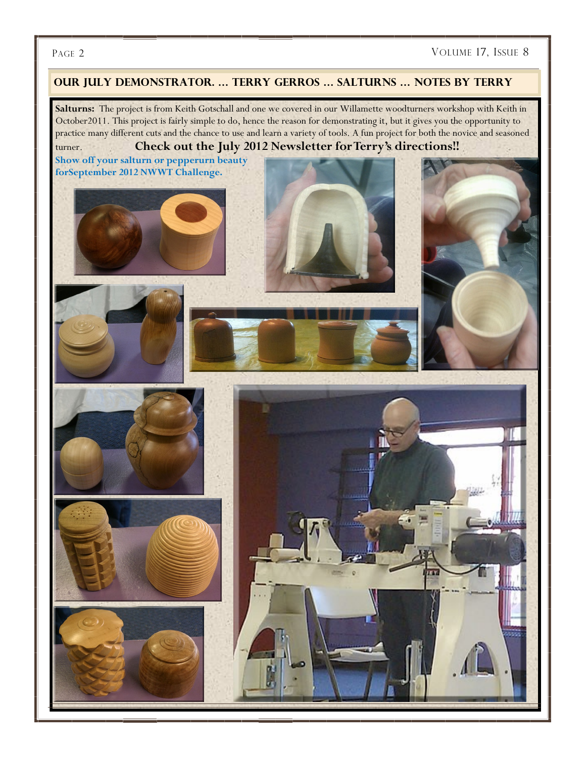# PAGE 2 VOLUME 17, ISSUE 8

# **Our July demonstrator. … Terry Gerros … Salturns … notes by Terry**

**Salturns:** The project is from Keith Gotschall and one we covered in our Willamette woodturners workshop with Keith in October2011. This project is fairly simple to do, hence the reason for demonstrating it, but it gives you the opportunity to practice many different cuts and the chance to use and learn a variety of tools. A fun project for both the novice and seasoned